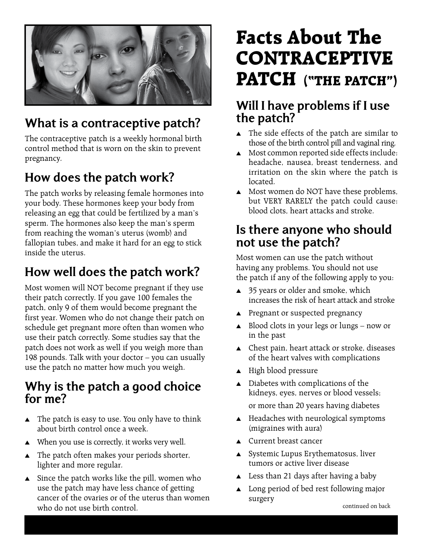

## **What is a contraceptive patch?**

The contraceptive patch is a weekly hormonal birth control method that is worn on the skin to prevent pregnancy.

# **How does the patch work?**

The patch works by releasing female hormones into your body. These hormones keep your body from releasing an egg that could be fertilized by a man's sperm. The hormones also keep the man's sperm from reaching the woman's uterus (womb) and fallopian tubes, and make it hard for an egg to stick inside the uterus.

# **How well does the patch work?**

Most women will NOT become pregnant if they use their patch correctly. If you gave 100 females the patch, only 9 of them would become pregnant the first year. Women who do not change their patch on schedule get pregnant more often than women who use their patch correctly. Some studies say that the patch does not work as well if you weigh more than 198 pounds. Talk with your doctor – you can usually use the patch no matter how much you weigh.

#### **Why is the patch a good choice for me?**

- $\blacktriangle$  The patch is easy to use. You only have to think about birth control once a week.
- $\blacktriangle$  When you use is correctly, it works very well.
- $\blacktriangle$  The patch often makes your periods shorter, lighter and more regular.
- $\blacktriangle$  Since the patch works like the pill, women who use the patch may have less chance of getting cancer of the ovaries or of the uterus than women who do not use birth control. The continued on back continued on back

# **Facts About The CONTRACEPTIVE PATCH ("THE PATCH")**

#### **Will I have problems if I use the patch?**

- $\triangle$  The side effects of the patch are similar to those of the birth control pill and vaginal ring.
- $\triangle$  Most common reported side effects include: headache, nausea, breast tenderness, and irritation on the skin where the patch is located.
- **A** Most women do NOT have these problems, but VERY RARELY the patch could cause: blood clots, heart attacks and stroke.

#### **Is there anyone who should not use the patch?**

Most women can use the patch without having any problems. You should not use the patch if any of the following apply to you:

- $\triangle$  35 years or older and smoke, which increases the risk of heart attack and stroke
- $\blacktriangle$  Pregnant or suspected pregnancy
- $\triangle$  Blood clots in your legs or lungs now or in the past
- $\triangle$  Chest pain, heart attack or stroke, diseases of the heart valves with complications
- $\triangle$  High blood pressure
- $\blacktriangle$  Diabetes with complications of the kidneys, eyes, nerves or blood vessels; or more than 20 years having diabetes
- $\triangle$  Headaches with neurological symptoms (migraines with aura)
- $\triangle$  Current breast cancer
- $\triangle$  Systemic Lupus Erythematosus, liver tumors or active liver disease
- $\triangle$  Less than 21 days after having a baby
- $\triangle$  Long period of bed rest following major surgery